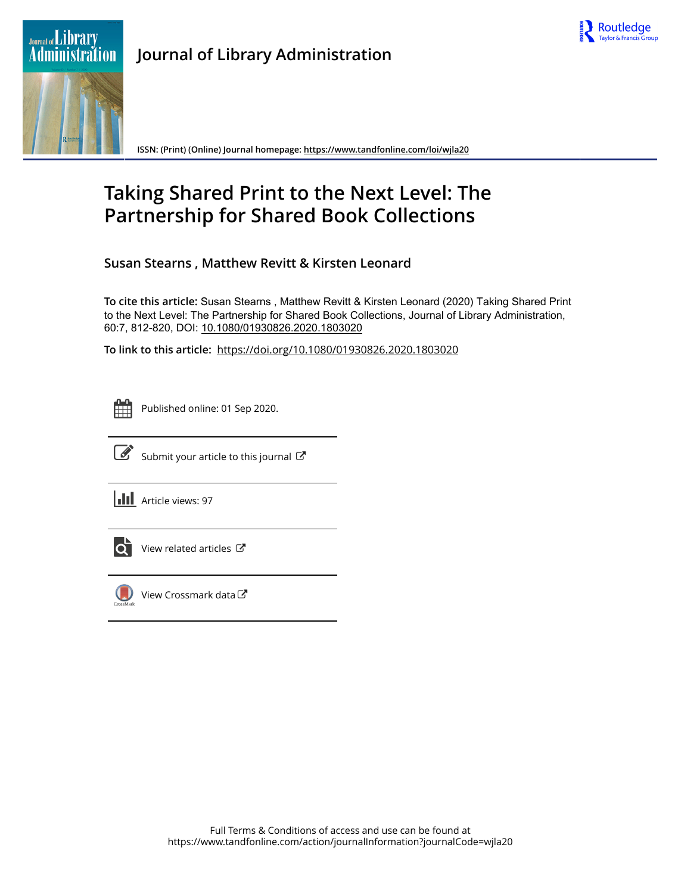

# **Journal of Library Administration**



**ISSN: (Print) (Online) Journal homepage:<https://www.tandfonline.com/loi/wjla20>**

# **Taking Shared Print to the Next Level: The Partnership for Shared Book Collections**

**Susan Stearns , Matthew Revitt & Kirsten Leonard**

**To cite this article:** Susan Stearns , Matthew Revitt & Kirsten Leonard (2020) Taking Shared Print to the Next Level: The Partnership for Shared Book Collections, Journal of Library Administration, 60:7, 812-820, DOI: [10.1080/01930826.2020.1803020](https://www.tandfonline.com/action/showCitFormats?doi=10.1080/01930826.2020.1803020)

**To link to this article:** <https://doi.org/10.1080/01930826.2020.1803020>



Published online: 01 Sep 2020.



 $\overrightarrow{S}$  [Submit your article to this journal](https://www.tandfonline.com/action/authorSubmission?journalCode=wjla20&show=instructions)  $\overrightarrow{S}$ 

**III** Article views: 97



[View related articles](https://www.tandfonline.com/doi/mlt/10.1080/01930826.2020.1803020) C



[View Crossmark data](http://crossmark.crossref.org/dialog/?doi=10.1080/01930826.2020.1803020&domain=pdf&date_stamp=2020-09-01)<sup>で</sup>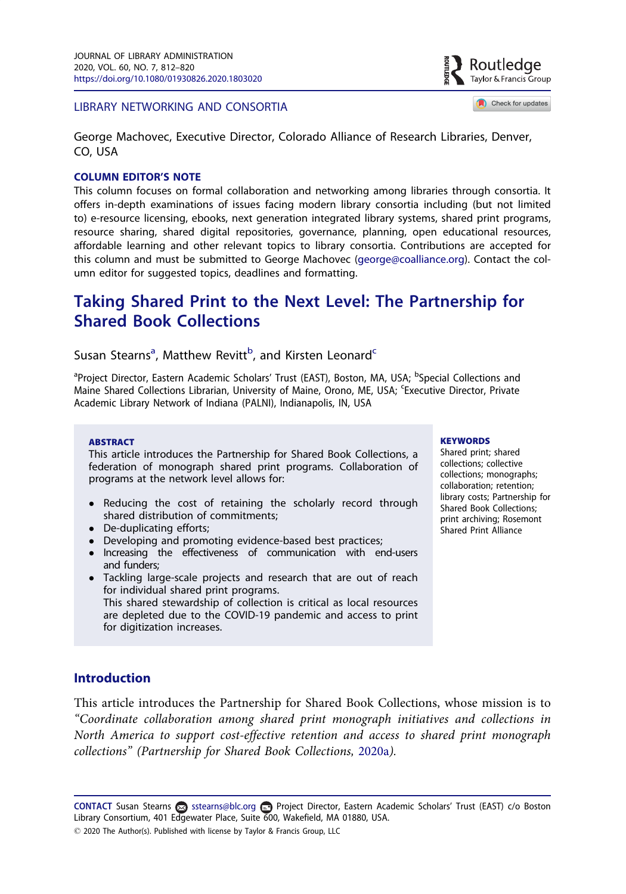#### <span id="page-1-0"></span>LIBRARY NETWORKING AND CONSORTIA

Taylor & Francis Group Check for updates

Routledae

George Machovec, Executive Director, Colorado Alliance of Research Libraries, Denver, CO, USA

#### COLUMN EDITOR'S NOTE

This column focuses on formal collaboration and networking among libraries through consortia. It offers in-depth examinations of issues facing modern library consortia including (but not limited to) e-resource licensing, ebooks, next generation integrated library systems, shared print programs, resource sharing, shared digital repositories, governance, planning, open educational resources, affordable learning and other relevant topics to library consortia. Contributions are accepted for this column and must be submitted to George Machovec (george@coalliance.org). Contact the column editor for suggested topics, deadlines and formatting.

## Taking Shared Print to the Next Level: The Partnership for Shared Book Collections

## Susan Stearns<sup>a</sup>, Matthew Revitt<sup>b</sup>, and Kirsten Leonard<sup>c</sup>

<sup>a</sup>Project Director, Eastern Academic Scholars' Trust (EAST), Boston, MA, USA; <sup>b</sup>Special Collections and Maine Shared Collections Librarian, University of Maine, Orono, ME, USA; 'Executive Director, Private Academic Library Network of Indiana (PALNI), Indianapolis, IN, USA

#### ABSTRACT

This article introduces the Partnership for Shared Book Collections, a federation of monograph shared print programs. Collaboration of programs at the network level allows for:

- Reducing the cost of retaining the scholarly record through shared distribution of commitments;
- De-duplicating efforts;
- Developing and promoting evidence-based best practices;
- Increasing the effectiveness of communication with end-users and funders;
- Tackling large-scale projects and research that are out of reach for individual shared print programs. This shared stewardship of collection is critical as local resources are depleted due to the COVID-19 pandemic and access to print for digitization increases.

#### **KEYWORDS**

Shared print; shared collections; collective collections; monographs; collaboration; retention; library costs; Partnership for Shared Book Collections; print archiving; Rosemont Shared Print Alliance

## **Introduction**

This article introduces the Partnership for Shared Book Collections, whose mission is to "Coordinate collaboration among shared print monograph initiatives and collections in North America to support cost-effective retention and access to shared print monograph collections" (Partnership for Shared Book Collections, [2020a](#page-9-0)).

CONTACT Susan Stearns a sstearns@blc.org **a** Project Director, Eastern Academic Scholars' Trust (EAST) c/o Boston Library Consortium, 401 Edgewater Place, Suite 600, Wakefield, MA 01880, USA. 2020 The Author(s). Published with license by Taylor & Francis Group, LLC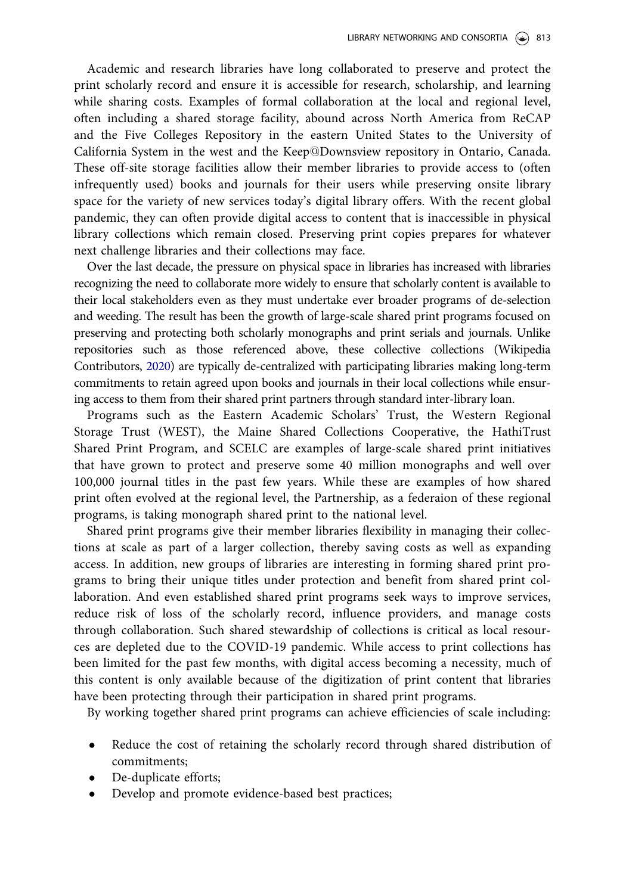<span id="page-2-0"></span>Academic and research libraries have long collaborated to preserve and protect the print scholarly record and ensure it is accessible for research, scholarship, and learning while sharing costs. Examples of formal collaboration at the local and regional level, often including a shared storage facility, abound across North America from ReCAP and the Five Colleges Repository in the eastern United States to the University of California System in the west and the Keep@Downsview repository in Ontario, Canada. These off-site storage facilities allow their member libraries to provide access to (often infrequently used) books and journals for their users while preserving onsite library space for the variety of new services today's digital library offers. With the recent global pandemic, they can often provide digital access to content that is inaccessible in physical library collections which remain closed. Preserving print copies prepares for whatever next challenge libraries and their collections may face.

Over the last decade, the pressure on physical space in libraries has increased with libraries recognizing the need to collaborate more widely to ensure that scholarly content is available to their local stakeholders even as they must undertake ever broader programs of de-selection and weeding. The result has been the growth of large-scale shared print programs focused on preserving and protecting both scholarly monographs and print serials and journals. Unlike repositories such as those referenced above, these collective collections (Wikipedia Contributors, [2020](#page-9-0)) are typically de-centralized with participating libraries making long-term commitments to retain agreed upon books and journals in their local collections while ensuring access to them from their shared print partners through standard inter-library loan.

Programs such as the Eastern Academic Scholars' Trust, the Western Regional Storage Trust (WEST), the Maine Shared Collections Cooperative, the HathiTrust Shared Print Program, and SCELC are examples of large-scale shared print initiatives that have grown to protect and preserve some 40 million monographs and well over 100,000 journal titles in the past few years. While these are examples of how shared print often evolved at the regional level, the Partnership, as a federaion of these regional programs, is taking monograph shared print to the national level.

Shared print programs give their member libraries flexibility in managing their collections at scale as part of a larger collection, thereby saving costs as well as expanding access. In addition, new groups of libraries are interesting in forming shared print programs to bring their unique titles under protection and benefit from shared print collaboration. And even established shared print programs seek ways to improve services, reduce risk of loss of the scholarly record, influence providers, and manage costs through collaboration. Such shared stewardship of collections is critical as local resources are depleted due to the COVID-19 pandemic. While access to print collections has been limited for the past few months, with digital access becoming a necessity, much of this content is only available because of the digitization of print content that libraries have been protecting through their participation in shared print programs.

By working together shared print programs can achieve efficiencies of scale including:

- Reduce the cost of retaining the scholarly record through shared distribution of commitments;
- De-duplicate efforts;
- Develop and promote evidence-based best practices;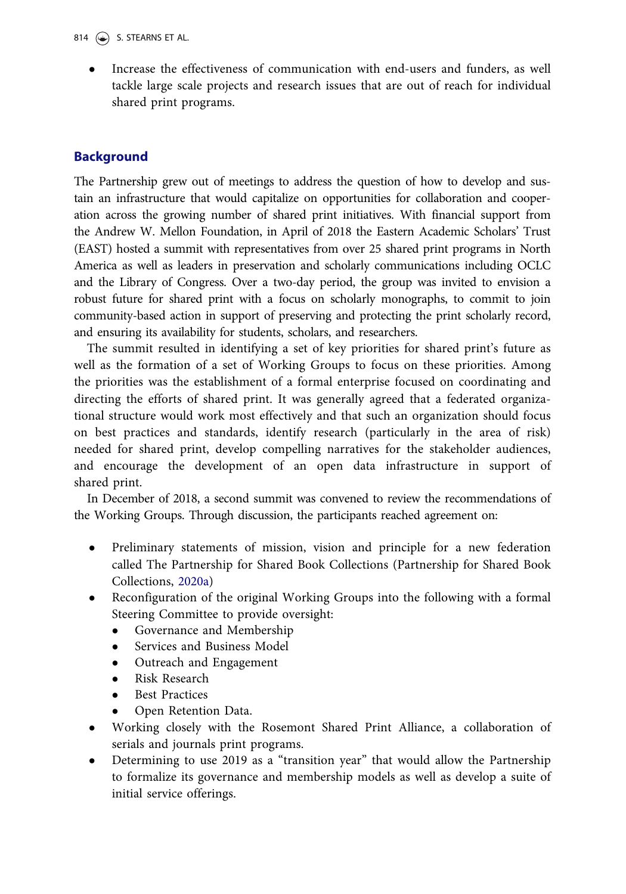Increase the effectiveness of communication with end-users and funders, as well tackle large scale projects and research issues that are out of reach for individual shared print programs.

## Background

The Partnership grew out of meetings to address the question of how to develop and sustain an infrastructure that would capitalize on opportunities for collaboration and cooperation across the growing number of shared print initiatives. With financial support from the Andrew W. Mellon Foundation, in April of 2018 the Eastern Academic Scholars' Trust (EAST) hosted a summit with representatives from over 25 shared print programs in North America as well as leaders in preservation and scholarly communications including OCLC and the Library of Congress. Over a two-day period, the group was invited to envision a robust future for shared print with a focus on scholarly monographs, to commit to join community-based action in support of preserving and protecting the print scholarly record, and ensuring its availability for students, scholars, and researchers.

The summit resulted in identifying a set of key priorities for shared print's future as well as the formation of a set of Working Groups to focus on these priorities. Among the priorities was the establishment of a formal enterprise focused on coordinating and directing the efforts of shared print. It was generally agreed that a federated organizational structure would work most effectively and that such an organization should focus on best practices and standards, identify research (particularly in the area of risk) needed for shared print, develop compelling narratives for the stakeholder audiences, and encourage the development of an open data infrastructure in support of shared print.

In December of 2018, a second summit was convened to review the recommendations of the Working Groups. Through discussion, the participants reached agreement on:

- Preliminary statements of mission, vision and principle for a new federation called The Partnership for Shared Book Collections (Partnership for Shared Book Collections, [2020a](#page-9-0))
- Reconfiguration of the original Working Groups into the following with a formal Steering Committee to provide oversight:
	- Governance and Membership
	- Services and Business Model<br>• Outreach and Engagement
	- Outreach and Engagement<br>• Risk Research
	- Risk Research
	- Best Practices
	- Open Retention Data.
- Working closely with the Rosemont Shared Print Alliance, a collaboration of serials and journals print programs.
- Determining to use 2019 as a "transition year" that would allow the Partnership to formalize its governance and membership models as well as develop a suite of initial service offerings.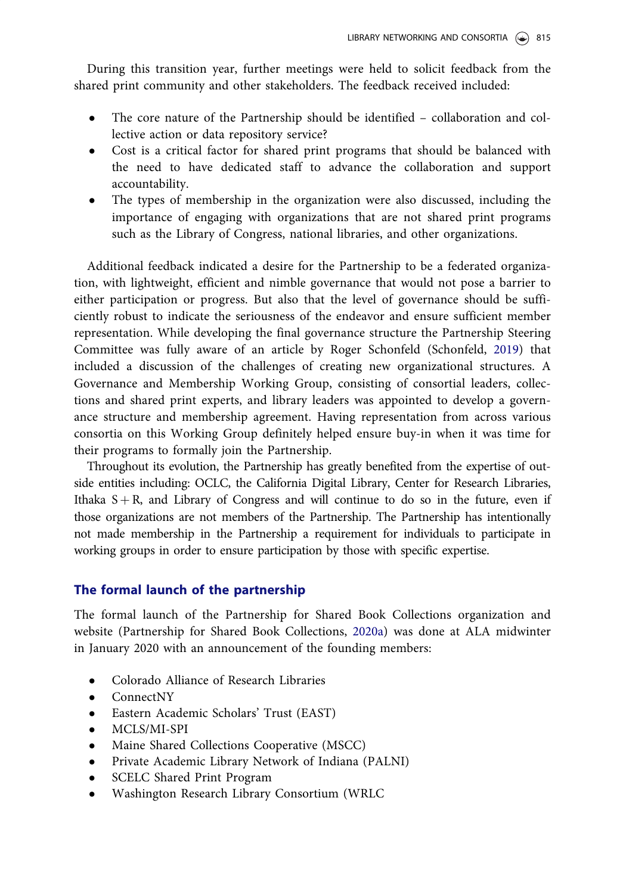<span id="page-4-0"></span>During this transition year, further meetings were held to solicit feedback from the shared print community and other stakeholders. The feedback received included:

- The core nature of the Partnership should be identified collaboration and collective action or data repository service?
- Cost is a critical factor for shared print programs that should be balanced with the need to have dedicated staff to advance the collaboration and support accountability.
- The types of membership in the organization were also discussed, including the importance of engaging with organizations that are not shared print programs such as the Library of Congress, national libraries, and other organizations.

Additional feedback indicated a desire for the Partnership to be a federated organization, with lightweight, efficient and nimble governance that would not pose a barrier to either participation or progress. But also that the level of governance should be sufficiently robust to indicate the seriousness of the endeavor and ensure sufficient member representation. While developing the final governance structure the Partnership Steering Committee was fully aware of an article by Roger Schonfeld (Schonfeld, [2019\)](#page-9-0) that included a discussion of the challenges of creating new organizational structures. A Governance and Membership Working Group, consisting of consortial leaders, collections and shared print experts, and library leaders was appointed to develop a governance structure and membership agreement. Having representation from across various consortia on this Working Group definitely helped ensure buy-in when it was time for their programs to formally join the Partnership.

Throughout its evolution, the Partnership has greatly benefited from the expertise of outside entities including: OCLC, the California Digital Library, Center for Research Libraries, Ithaka  $S + R$ , and Library of Congress and will continue to do so in the future, even if those organizations are not members of the Partnership. The Partnership has intentionally not made membership in the Partnership a requirement for individuals to participate in working groups in order to ensure participation by those with specific expertise.

## The formal launch of the partnership

The formal launch of the Partnership for Shared Book Collections organization and website (Partnership for Shared Book Collections, [2020a\)](#page-9-0) was done at ALA midwinter in January 2020 with an announcement of the founding members:

- Colorado Alliance of Research Libraries
- ConnectNY
- Eastern Academic Scholars' Trust (EAST)
- MCLS/MI-SPI
- Maine Shared Collections Cooperative (MSCC)
- Private Academic Library Network of Indiana (PALNI)
- SCELC Shared Print Program
- Washington Research Library Consortium (WRLC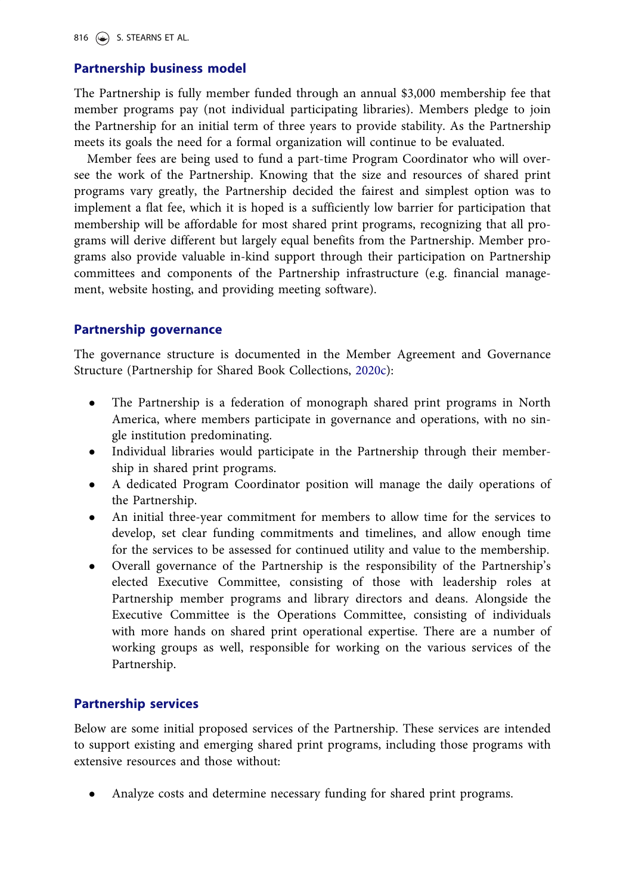## <span id="page-5-0"></span>Partnership business model

The Partnership is fully member funded through an annual \$3,000 membership fee that member programs pay (not individual participating libraries). Members pledge to join the Partnership for an initial term of three years to provide stability. As the Partnership meets its goals the need for a formal organization will continue to be evaluated.

Member fees are being used to fund a part-time Program Coordinator who will oversee the work of the Partnership. Knowing that the size and resources of shared print programs vary greatly, the Partnership decided the fairest and simplest option was to implement a flat fee, which it is hoped is a sufficiently low barrier for participation that membership will be affordable for most shared print programs, recognizing that all programs will derive different but largely equal benefits from the Partnership. Member programs also provide valuable in-kind support through their participation on Partnership committees and components of the Partnership infrastructure (e.g. financial management, website hosting, and providing meeting software).

## Partnership governance

The governance structure is documented in the Member Agreement and Governance Structure (Partnership for Shared Book Collections, [2020c\)](#page-9-0):

- The Partnership is a federation of monograph shared print programs in North America, where members participate in governance and operations, with no single institution predominating.
- Individual libraries would participate in the Partnership through their membership in shared print programs.
- A dedicated Program Coordinator position will manage the daily operations of the Partnership.
- An initial three-year commitment for members to allow time for the services to develop, set clear funding commitments and timelines, and allow enough time for the services to be assessed for continued utility and value to the membership.
- Overall governance of the Partnership is the responsibility of the Partnership's elected Executive Committee, consisting of those with leadership roles at Partnership member programs and library directors and deans. Alongside the Executive Committee is the Operations Committee, consisting of individuals with more hands on shared print operational expertise. There are a number of working groups as well, responsible for working on the various services of the Partnership.

## Partnership services

Below are some initial proposed services of the Partnership. These services are intended to support existing and emerging shared print programs, including those programs with extensive resources and those without:

Analyze costs and determine necessary funding for shared print programs.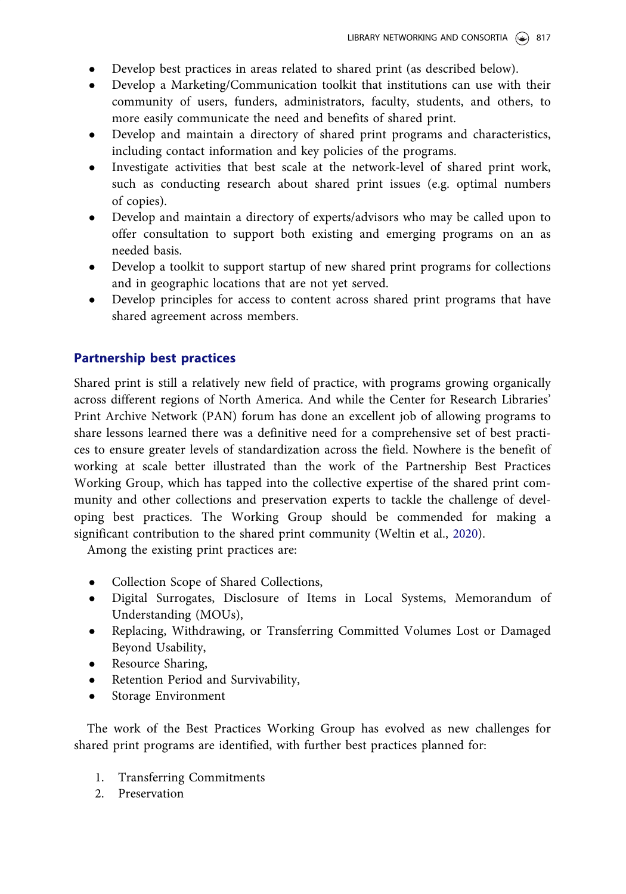- <span id="page-6-0"></span>Develop best practices in areas related to shared print (as described below).
- Develop a Marketing/Communication toolkit that institutions can use with their community of users, funders, administrators, faculty, students, and others, to more easily communicate the need and benefits of shared print.
- Develop and maintain a directory of shared print programs and characteristics, including contact information and key policies of the programs.
- Investigate activities that best scale at the network-level of shared print work, such as conducting research about shared print issues (e.g. optimal numbers of copies).
- Develop and maintain a directory of experts/advisors who may be called upon to offer consultation to support both existing and emerging programs on an as needed basis.
- Develop a toolkit to support startup of new shared print programs for collections and in geographic locations that are not yet served.
- Develop principles for access to content across shared print programs that have shared agreement across members.

## Partnership best practices

Shared print is still a relatively new field of practice, with programs growing organically across different regions of North America. And while the Center for Research Libraries' Print Archive Network (PAN) forum has done an excellent job of allowing programs to share lessons learned there was a definitive need for a comprehensive set of best practices to ensure greater levels of standardization across the field. Nowhere is the benefit of working at scale better illustrated than the work of the Partnership Best Practices Working Group, which has tapped into the collective expertise of the shared print community and other collections and preservation experts to tackle the challenge of developing best practices. The Working Group should be commended for making a significant contribution to the shared print community (Weltin et al., [2020\)](#page-9-0).

Among the existing print practices are:

- Collection Scope of Shared Collections,
- Digital Surrogates, Disclosure of Items in Local Systems, Memorandum of Understanding (MOUs),
- Replacing, Withdrawing, or Transferring Committed Volumes Lost or Damaged Beyond Usability,
- Resource Sharing,
- Retention Period and Survivability,
- Storage Environment

The work of the Best Practices Working Group has evolved as new challenges for shared print programs are identified, with further best practices planned for:

- 1. Transferring Commitments
- 2. Preservation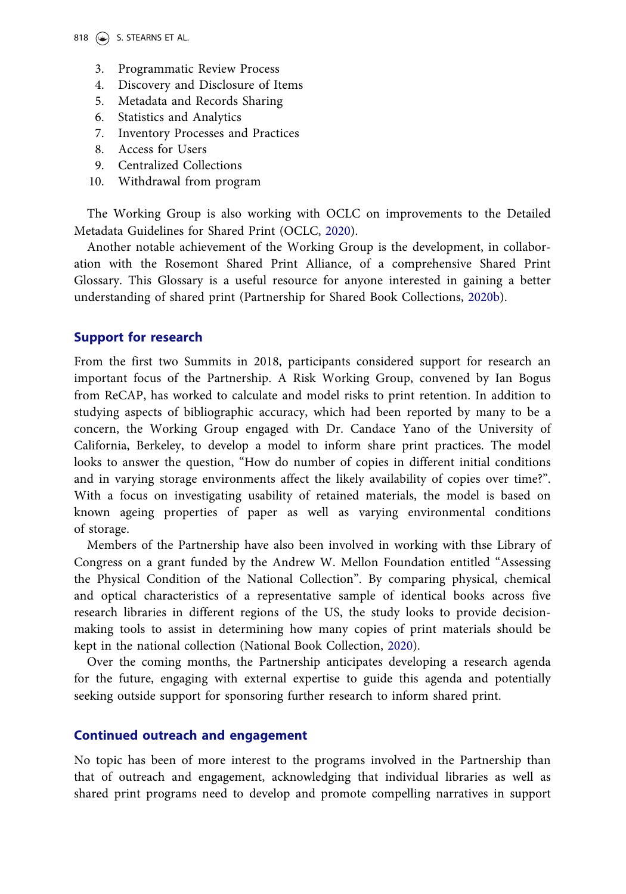#### <span id="page-7-0"></span>818  $\circledast$  S. STEARNS ET AL.

- 3. Programmatic Review Process
- 4. Discovery and Disclosure of Items
- 5. Metadata and Records Sharing
- 6. Statistics and Analytics
- 7. Inventory Processes and Practices
- 8. Access for Users
- 9. Centralized Collections
- 10. Withdrawal from program

The Working Group is also working with OCLC on improvements to the Detailed Metadata Guidelines for Shared Print (OCLC, [2020](#page-9-0)).

Another notable achievement of the Working Group is the development, in collaboration with the Rosemont Shared Print Alliance, of a comprehensive Shared Print Glossary. This Glossary is a useful resource for anyone interested in gaining a better understanding of shared print (Partnership for Shared Book Collections, [2020b](#page-9-0)).

### Support for research

From the first two Summits in 2018, participants considered support for research an important focus of the Partnership. A Risk Working Group, convened by Ian Bogus from ReCAP, has worked to calculate and model risks to print retention. In addition to studying aspects of bibliographic accuracy, which had been reported by many to be a concern, the Working Group engaged with Dr. Candace Yano of the University of California, Berkeley, to develop a model to inform share print practices. The model looks to answer the question, "How do number of copies in different initial conditions and in varying storage environments affect the likely availability of copies over time?". With a focus on investigating usability of retained materials, the model is based on known ageing properties of paper as well as varying environmental conditions of storage.

Members of the Partnership have also been involved in working with thse Library of Congress on a grant funded by the Andrew W. Mellon Foundation entitled "Assessing the Physical Condition of the National Collection". By comparing physical, chemical and optical characteristics of a representative sample of identical books across five research libraries in different regions of the US, the study looks to provide decisionmaking tools to assist in determining how many copies of print materials should be kept in the national collection (National Book Collection, [2020](#page-9-0)).

Over the coming months, the Partnership anticipates developing a research agenda for the future, engaging with external expertise to guide this agenda and potentially seeking outside support for sponsoring further research to inform shared print.

## Continued outreach and engagement

No topic has been of more interest to the programs involved in the Partnership than that of outreach and engagement, acknowledging that individual libraries as well as shared print programs need to develop and promote compelling narratives in support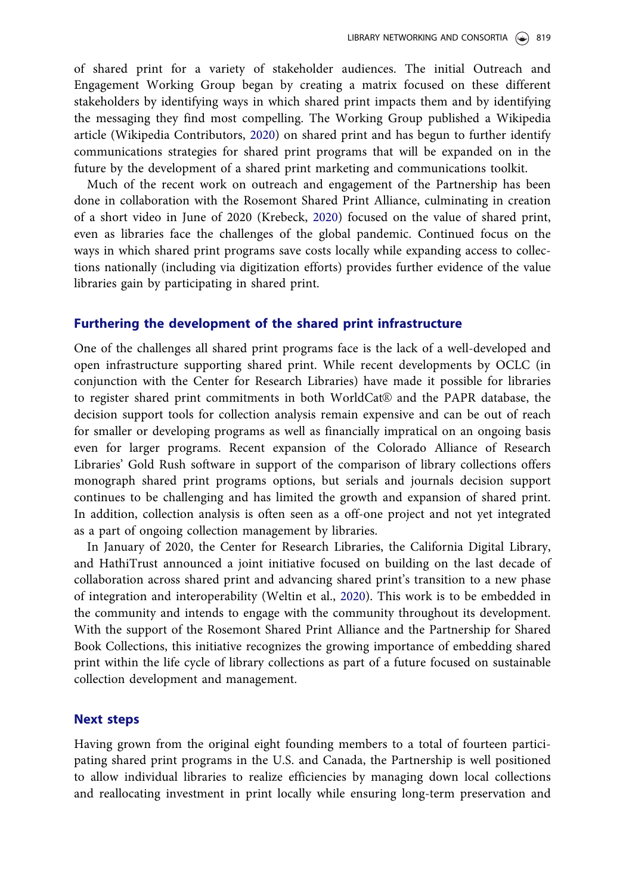<span id="page-8-0"></span>of shared print for a variety of stakeholder audiences. The initial Outreach and Engagement Working Group began by creating a matrix focused on these different stakeholders by identifying ways in which shared print impacts them and by identifying the messaging they find most compelling. The Working Group published a Wikipedia article (Wikipedia Contributors, [2020](#page-9-0)) on shared print and has begun to further identify communications strategies for shared print programs that will be expanded on in the future by the development of a shared print marketing and communications toolkit.

Much of the recent work on outreach and engagement of the Partnership has been done in collaboration with the Rosemont Shared Print Alliance, culminating in creation of a short video in June of 2020 (Krebeck, [2020](#page-9-0)) focused on the value of shared print, even as libraries face the challenges of the global pandemic. Continued focus on the ways in which shared print programs save costs locally while expanding access to collections nationally (including via digitization efforts) provides further evidence of the value libraries gain by participating in shared print.

### Furthering the development of the shared print infrastructure

One of the challenges all shared print programs face is the lack of a well-developed and open infrastructure supporting shared print. While recent developments by OCLC (in conjunction with the Center for Research Libraries) have made it possible for libraries to register shared print commitments in both WorldCat® and the PAPR database, the decision support tools for collection analysis remain expensive and can be out of reach for smaller or developing programs as well as financially impratical on an ongoing basis even for larger programs. Recent expansion of the Colorado Alliance of Research Libraries' Gold Rush software in support of the comparison of library collections offers monograph shared print programs options, but serials and journals decision support continues to be challenging and has limited the growth and expansion of shared print. In addition, collection analysis is often seen as a off-one project and not yet integrated as a part of ongoing collection management by libraries.

In January of 2020, the Center for Research Libraries, the California Digital Library, and HathiTrust announced a joint initiative focused on building on the last decade of collaboration across shared print and advancing shared print's transition to a new phase of integration and interoperability (Weltin et al., [2020](#page-9-0)). This work is to be embedded in the community and intends to engage with the community throughout its development. With the support of the Rosemont Shared Print Alliance and the Partnership for Shared Book Collections, this initiative recognizes the growing importance of embedding shared print within the life cycle of library collections as part of a future focused on sustainable collection development and management.

### Next steps

Having grown from the original eight founding members to a total of fourteen participating shared print programs in the U.S. and Canada, the Partnership is well positioned to allow individual libraries to realize efficiencies by managing down local collections and reallocating investment in print locally while ensuring long-term preservation and